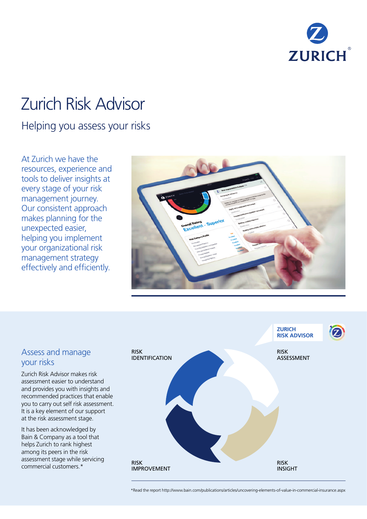

# Zurich Risk Advisor

# Helping you assess your risks

At Zurich we have the resources, experience and tools to deliver insights at every stage of your risk management journey. Our consistent approach makes planning for the unexpected easier, helping you implement your organizational risk management strategy effectively and efficiently.



**ZURICH** 



#### Assess and manage your risks

Zurich Risk Advisor makes risk assessment easier to understand and provides you with insights and recommended practices that enable you to carry out self risk assessment. It is a key element of our support at the risk assessment stage.

It has been acknowledged by Bain & Company as a tool that helps Zurich to rank highest among its peers in the risk assessment stage while servicing commercial customers.\*

\*Read the report http://www.bain.com/publications/articles/uncovering-elements-of-value-in-commercial-insurance.aspx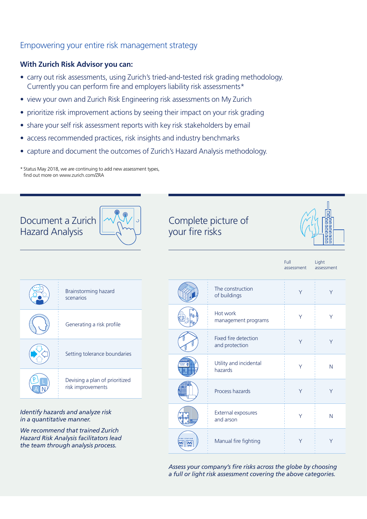#### Empowering your entire risk management strategy

#### **With Zurich Risk Advisor you can:**

- carry out risk assessments, using Zurich's tried-and-tested risk grading methodology. Currently you can perform fire and employers liability risk assessments\*
- view your own and Zurich Risk Engineering risk assessments on My Zurich
- prioritize risk improvement actions by seeing their impact on your risk grading
- share your self risk assessment reports with key risk stakeholders by email
- access recommended practices, risk insights and industry benchmarks
- capture and document the outcomes of Zurich's Hazard Analysis methodology.

\* Status May 2018, we are continuing to add new assessment types, find out more on www.zurich.com/ZRA



## Complete picture of your fire risks



| Full       | Light      |
|------------|------------|
| assessment | assessment |
|            |            |

| Brainstorming hazard<br>scenarios                   |
|-----------------------------------------------------|
| Generating a risk profile                           |
| Setting tolerance boundaries                        |
| Devising a plan of prioritized<br>risk improvements |

*Identify hazards and analyze risk in a quantitative manner.* 

*We recommend that trained Zurich Hazard Risk Analysis facilitators lead the team through analysis process.*

| The construction<br>of buildings       | Υ | Υ |
|----------------------------------------|---|---|
| Hot work<br>management programs        | Υ | Υ |
| Fixed fire detection<br>and protection | Υ | Υ |
| Utility and incidental<br>hazards      | Υ | N |
| Process hazards                        | Υ | Υ |
| <b>External exposures</b><br>and arson | Υ | N |
| Manual fire fighting                   | Υ | Υ |

*Assess your company's fire risks across the globe by choosing a full or light risk assessment covering the above categories.*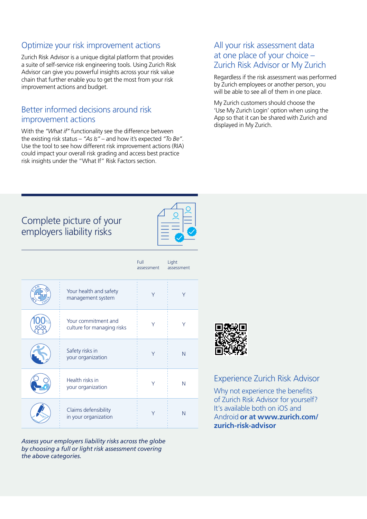#### Optimize your risk improvement actions

Zurich Risk Advisor is a unique digital platform that provides a suite of self-service risk engineering tools. Using Zurich Risk Advisor can give you powerful insights across your risk value chain that further enable you to get the most from your risk improvement actions and budget.

#### Better informed decisions around risk improvement actions

With the *"What if"* functionality see the difference between the existing risk status – *"As Is"* – and how it's expected *"To Be"*. Use the tool to see how different risk improvement actions (RIA) could impact your overall risk grading and access best practice risk insights under the "What If" Risk Factors section.

#### All your risk assessment data at one place of your choice – Zurich Risk Advisor or My Zurich

Regardless if the risk assessment was performed by Zurich employees or another person, you will be able to see all of them in one place.

My Zurich customers should choose the 'Use My Zurich Login' option when using the App so that it can be shared with Zurich and displayed in My Zurich.

### Complete picture of your employers liability risks

|                                                   | Full<br>assessment | Light<br>assessment |
|---------------------------------------------------|--------------------|---------------------|
| Your health and safety<br>management system       | Υ                  | Υ                   |
| Your commitment and<br>culture for managing risks | Υ                  | Υ                   |
| Safety risks in<br>your organization              | Υ                  | N                   |
| Health risks in<br>your organization              | Υ                  | N                   |
| Claims defensibility<br>in your organization      | Υ                  | N                   |

*Assess your employers liability risks across the globe by choosing a full or light risk assessment covering the above categories.*



#### Experience Zurich Risk Advisor

Why not experience the benefits of Zurich Risk Advisor for yourself? It's available both on iOS and Android **or at www.zurich.com/ zurich-risk-advisor**